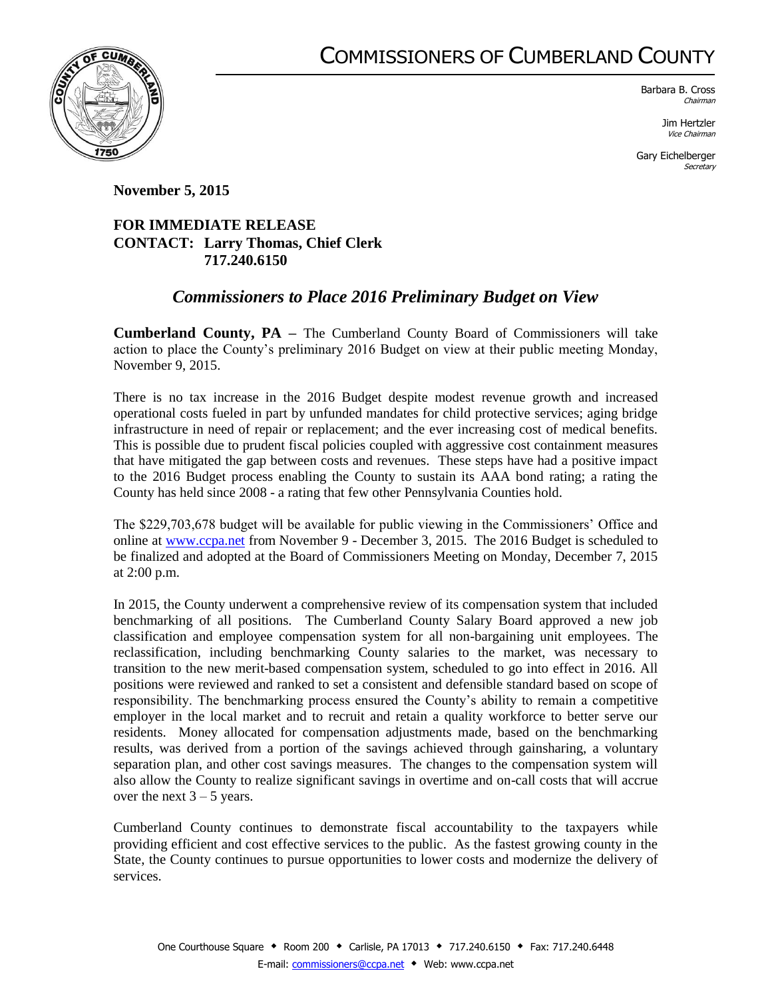## COMMISSIONERS OF CUMBERLAND COUNTY



Barbara B. Cross Chairman

> Jim Hertzler Vice Chairman

Gary Eichelberger **Secretary** 

**November 5, 2015**

## **FOR IMMEDIATE RELEASE CONTACT: Larry Thomas, Chief Clerk 717.240.6150**

## *Commissioners to Place 2016 Preliminary Budget on View*

**Cumberland County, PA –** The Cumberland County Board of Commissioners will take action to place the County's preliminary 2016 Budget on view at their public meeting Monday, November 9, 2015.

There is no tax increase in the 2016 Budget despite modest revenue growth and increased operational costs fueled in part by unfunded mandates for child protective services; aging bridge infrastructure in need of repair or replacement; and the ever increasing cost of medical benefits. This is possible due to prudent fiscal policies coupled with aggressive cost containment measures that have mitigated the gap between costs and revenues. These steps have had a positive impact to the 2016 Budget process enabling the County to sustain its AAA bond rating; a rating the County has held since 2008 - a rating that few other Pennsylvania Counties hold.

The \$229,703,678 budget will be available for public viewing in the Commissioners' Office and online at [www.ccpa.net](http://www.ccpa.net/) from November 9 - December 3, 2015. The 2016 Budget is scheduled to be finalized and adopted at the Board of Commissioners Meeting on Monday, December 7, 2015 at 2:00 p.m.

In 2015, the County underwent a comprehensive review of its compensation system that included benchmarking of all positions. The Cumberland County Salary Board approved a new job classification and employee compensation system for all non-bargaining unit employees. The reclassification, including benchmarking County salaries to the market, was necessary to transition to the new merit-based compensation system, scheduled to go into effect in 2016. All positions were reviewed and ranked to set a consistent and defensible standard based on scope of responsibility. The benchmarking process ensured the County's ability to remain a competitive employer in the local market and to recruit and retain a quality workforce to better serve our residents. Money allocated for compensation adjustments made, based on the benchmarking results, was derived from a portion of the savings achieved through gainsharing, a voluntary separation plan, and other cost savings measures. The changes to the compensation system will also allow the County to realize significant savings in overtime and on-call costs that will accrue over the next  $3 - 5$  years.

Cumberland County continues to demonstrate fiscal accountability to the taxpayers while providing efficient and cost effective services to the public. As the fastest growing county in the State, the County continues to pursue opportunities to lower costs and modernize the delivery of services.